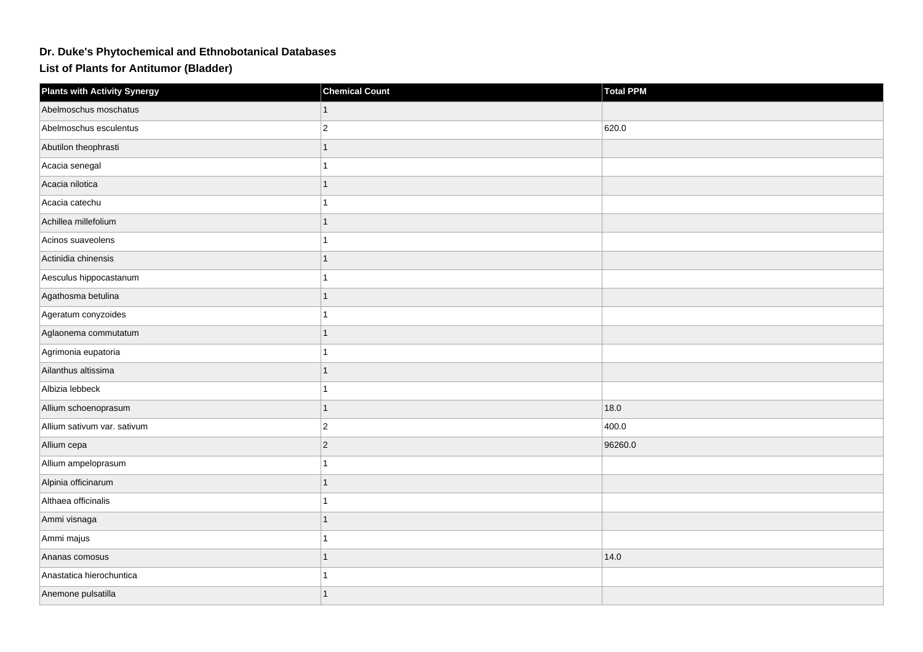## **Dr. Duke's Phytochemical and Ethnobotanical Databases**

**List of Plants for Antitumor (Bladder)**

| <b>Plants with Activity Synergy</b> | <b>Chemical Count</b> | <b>Total PPM</b> |
|-------------------------------------|-----------------------|------------------|
| Abelmoschus moschatus               |                       |                  |
| Abelmoschus esculentus              | $\overline{a}$        | 620.0            |
| Abutilon theophrasti                |                       |                  |
| Acacia senegal                      |                       |                  |
| Acacia nilotica                     |                       |                  |
| Acacia catechu                      |                       |                  |
| Achillea millefolium                |                       |                  |
| Acinos suaveolens                   |                       |                  |
| Actinidia chinensis                 |                       |                  |
| Aesculus hippocastanum              |                       |                  |
| Agathosma betulina                  |                       |                  |
| Ageratum conyzoides                 |                       |                  |
| Aglaonema commutatum                |                       |                  |
| Agrimonia eupatoria                 |                       |                  |
| Ailanthus altissima                 |                       |                  |
| Albizia lebbeck                     |                       |                  |
| Allium schoenoprasum                |                       | 18.0             |
| Allium sativum var. sativum         | $\overline{2}$        | 400.0            |
| Allium cepa                         | $\overline{c}$        | 96260.0          |
| Allium ampeloprasum                 |                       |                  |
| Alpinia officinarum                 |                       |                  |
| Althaea officinalis                 |                       |                  |
| Ammi visnaga                        |                       |                  |
| Ammi majus                          |                       |                  |
| Ananas comosus                      | 1                     | 14.0             |
| Anastatica hierochuntica            |                       |                  |
| Anemone pulsatilla                  |                       |                  |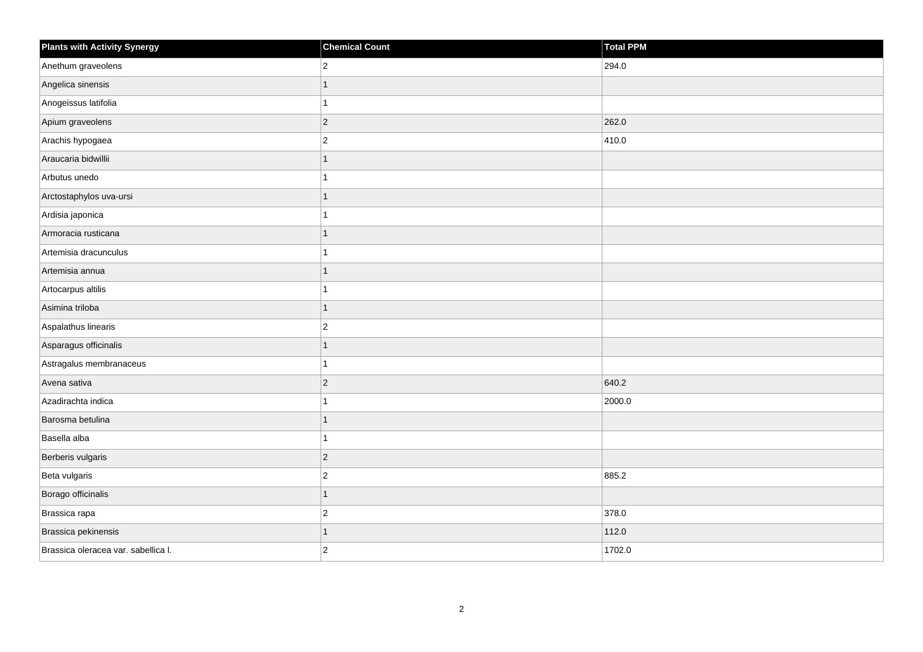| <b>Plants with Activity Synergy</b> | <b>Chemical Count</b> | <b>Total PPM</b> |
|-------------------------------------|-----------------------|------------------|
| Anethum graveolens                  | $\overline{2}$        | 294.0            |
| Angelica sinensis                   |                       |                  |
| Anogeissus latifolia                |                       |                  |
| Apium graveolens                    | $\overline{2}$        | 262.0            |
| Arachis hypogaea                    | $\overline{2}$        | 410.0            |
| Araucaria bidwillii                 | 1                     |                  |
| Arbutus unedo                       |                       |                  |
| Arctostaphylos uva-ursi             |                       |                  |
| Ardisia japonica                    |                       |                  |
| Armoracia rusticana                 | 1                     |                  |
| Artemisia dracunculus               |                       |                  |
| Artemisia annua                     |                       |                  |
| Artocarpus altilis                  |                       |                  |
| Asimina triloba                     | 1                     |                  |
| Aspalathus linearis                 | $\overline{c}$        |                  |
| Asparagus officinalis               | $\overline{1}$        |                  |
| Astragalus membranaceus             |                       |                  |
| Avena sativa                        | $\overline{2}$        | 640.2            |
| Azadirachta indica                  | 1                     | 2000.0           |
| Barosma betulina                    |                       |                  |
| Basella alba                        |                       |                  |
| Berberis vulgaris                   | $\overline{c}$        |                  |
| Beta vulgaris                       | $\overline{c}$        | 885.2            |
| Borago officinalis                  | 1                     |                  |
| Brassica rapa                       | $\overline{c}$        | 378.0            |
| Brassica pekinensis                 | 1                     | 112.0            |
| Brassica oleracea var. sabellica I. | $\overline{2}$        | 1702.0           |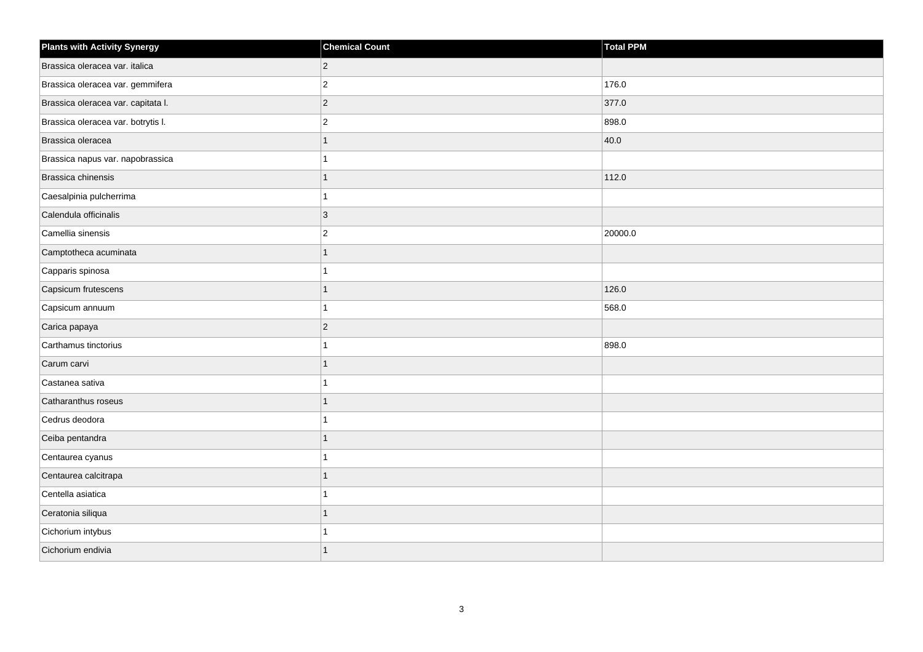| <b>Plants with Activity Synergy</b> | <b>Chemical Count</b> | <b>Total PPM</b> |
|-------------------------------------|-----------------------|------------------|
| Brassica oleracea var. italica      | $\overline{2}$        |                  |
| Brassica oleracea var. gemmifera    | $\overline{2}$        | 176.0            |
| Brassica oleracea var. capitata I.  | $\overline{c}$        | 377.0            |
| Brassica oleracea var. botrytis I.  | $\overline{2}$        | 898.0            |
| Brassica oleracea                   | 1                     | 40.0             |
| Brassica napus var. napobrassica    | 1                     |                  |
| Brassica chinensis                  | $\mathbf{1}$          | 112.0            |
| Caesalpinia pulcherrima             |                       |                  |
| Calendula officinalis               | $\mathbf{3}$          |                  |
| Camellia sinensis                   | $\overline{2}$        | 20000.0          |
| Camptotheca acuminata               | $\overline{1}$        |                  |
| Capparis spinosa                    | 1                     |                  |
| Capsicum frutescens                 | $\overline{1}$        | 126.0            |
| Capsicum annuum                     | 1                     | 568.0            |
| Carica papaya                       | $\overline{c}$        |                  |
| Carthamus tinctorius                | 1                     | 898.0            |
| Carum carvi                         | 1                     |                  |
| Castanea sativa                     |                       |                  |
| Catharanthus roseus                 | $\overline{1}$        |                  |
| Cedrus deodora                      |                       |                  |
| Ceiba pentandra                     | $\overline{1}$        |                  |
| Centaurea cyanus                    | $\overline{1}$        |                  |
| Centaurea calcitrapa                | 1                     |                  |
| Centella asiatica                   |                       |                  |
| Ceratonia siliqua                   | $\overline{1}$        |                  |
| Cichorium intybus                   |                       |                  |
| Cichorium endivia                   | $\overline{1}$        |                  |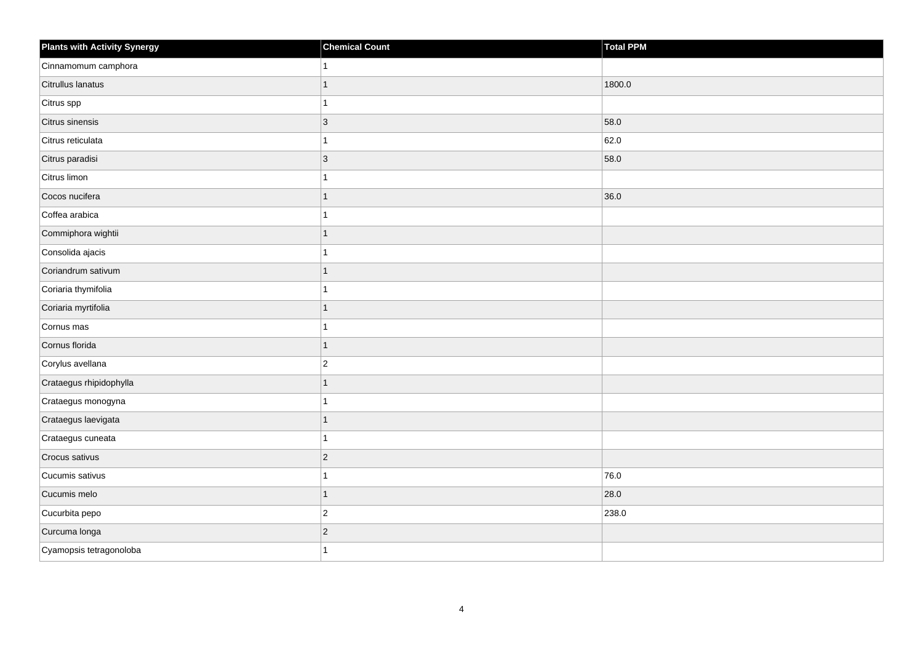| <b>Plants with Activity Synergy</b> | <b>Chemical Count</b> | <b>Total PPM</b> |
|-------------------------------------|-----------------------|------------------|
| Cinnamomum camphora                 |                       |                  |
| Citrullus lanatus                   |                       | 1800.0           |
| Citrus spp                          |                       |                  |
| Citrus sinensis                     | $\overline{3}$        | 58.0             |
| Citrus reticulata                   |                       | 62.0             |
| Citrus paradisi                     | $\overline{3}$        | 58.0             |
| Citrus limon                        |                       |                  |
| Cocos nucifera                      |                       | 36.0             |
| Coffea arabica                      |                       |                  |
| Commiphora wightii                  | 1                     |                  |
| Consolida ajacis                    |                       |                  |
| Coriandrum sativum                  | 1                     |                  |
| Coriaria thymifolia                 |                       |                  |
| Coriaria myrtifolia                 | 1                     |                  |
| Cornus mas                          |                       |                  |
| Cornus florida                      | $\overline{1}$        |                  |
| Corylus avellana                    | $\overline{c}$        |                  |
| Crataegus rhipidophylla             |                       |                  |
| Crataegus monogyna                  | 1                     |                  |
| Crataegus laevigata                 |                       |                  |
| Crataegus cuneata                   |                       |                  |
| Crocus sativus                      | $\overline{c}$        |                  |
| Cucumis sativus                     |                       | 76.0             |
| Cucumis melo                        | 1                     | 28.0             |
| Cucurbita pepo                      | $\overline{c}$        | 238.0            |
| Curcuma longa                       | $\overline{c}$        |                  |
| Cyamopsis tetragonoloba             |                       |                  |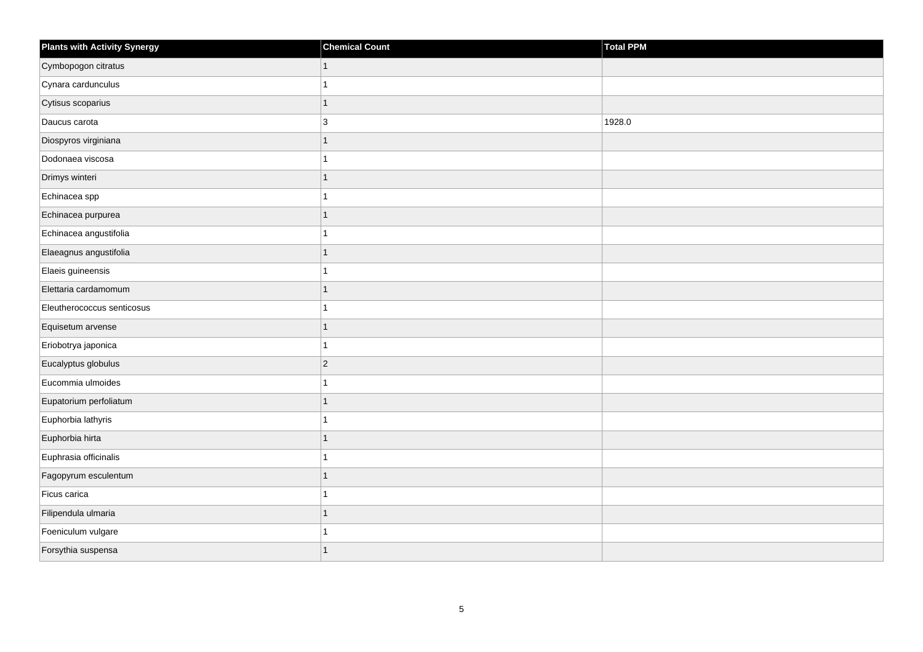| <b>Plants with Activity Synergy</b> | <b>Chemical Count</b> | Total PPM |
|-------------------------------------|-----------------------|-----------|
| Cymbopogon citratus                 | 1                     |           |
| Cynara cardunculus                  |                       |           |
| Cytisus scoparius                   | 1                     |           |
| Daucus carota                       | 3                     | 1928.0    |
| Diospyros virginiana                | 1                     |           |
| Dodonaea viscosa                    |                       |           |
| Drimys winteri                      | 1                     |           |
| Echinacea spp                       |                       |           |
| Echinacea purpurea                  |                       |           |
| Echinacea angustifolia              |                       |           |
| Elaeagnus angustifolia              | 1                     |           |
| Elaeis guineensis                   |                       |           |
| Elettaria cardamomum                | 1                     |           |
| Eleutherococcus senticosus          |                       |           |
| Equisetum arvense                   |                       |           |
| Eriobotrya japonica                 | 1                     |           |
| Eucalyptus globulus                 | $\overline{2}$        |           |
| Eucommia ulmoides                   |                       |           |
| Eupatorium perfoliatum              | 1                     |           |
| Euphorbia lathyris                  |                       |           |
| Euphorbia hirta                     |                       |           |
| Euphrasia officinalis               | 1                     |           |
| Fagopyrum esculentum                |                       |           |
| Ficus carica                        |                       |           |
| Filipendula ulmaria                 | $\overline{1}$        |           |
| Foeniculum vulgare                  |                       |           |
| Forsythia suspensa                  |                       |           |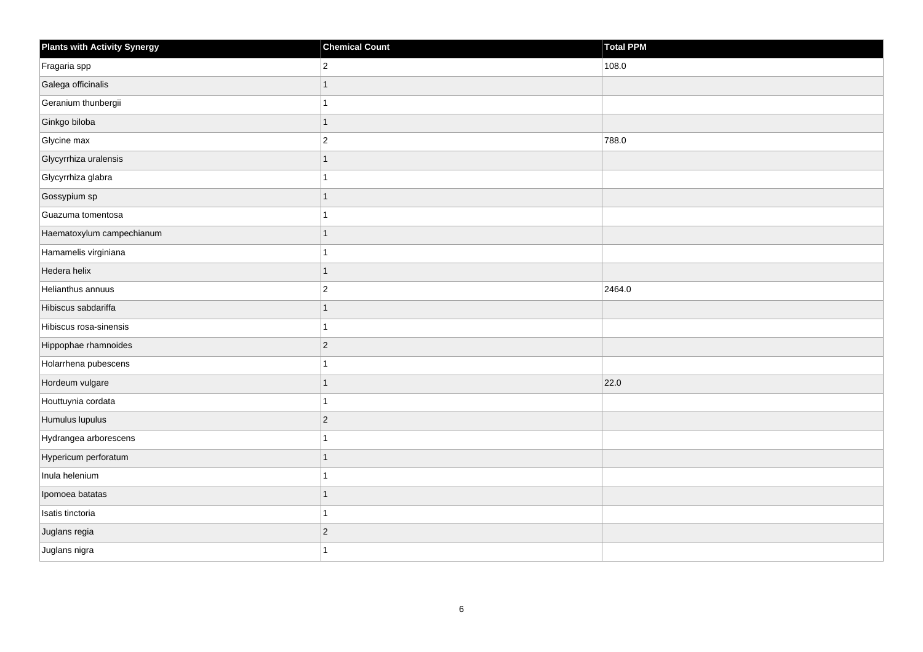| <b>Plants with Activity Synergy</b> | <b>Chemical Count</b> | <b>Total PPM</b> |
|-------------------------------------|-----------------------|------------------|
| Fragaria spp                        | $ 2\rangle$           | 108.0            |
| Galega officinalis                  |                       |                  |
| Geranium thunbergii                 |                       |                  |
| Ginkgo biloba                       | 1                     |                  |
| Glycine max                         | $\overline{2}$        | 788.0            |
| Glycyrrhiza uralensis               |                       |                  |
| Glycyrrhiza glabra                  |                       |                  |
| Gossypium sp                        |                       |                  |
| Guazuma tomentosa                   |                       |                  |
| Haematoxylum campechianum           | 1                     |                  |
| Hamamelis virginiana                | 1                     |                  |
| Hedera helix                        | 1                     |                  |
| Helianthus annuus                   | $\vert$ 2             | 2464.0           |
| Hibiscus sabdariffa                 | 1                     |                  |
| Hibiscus rosa-sinensis              | 1                     |                  |
| Hippophae rhamnoides                | $ 2\rangle$           |                  |
| Holarrhena pubescens                |                       |                  |
| Hordeum vulgare                     |                       | 22.0             |
| Houttuynia cordata                  | 1                     |                  |
| Humulus lupulus                     | $ 2\rangle$           |                  |
| Hydrangea arborescens               |                       |                  |
| Hypericum perforatum                | 1                     |                  |
| Inula helenium                      |                       |                  |
| Ipomoea batatas                     |                       |                  |
| Isatis tinctoria                    | 1                     |                  |
| Juglans regia                       | $\vert$ 2             |                  |
| Juglans nigra                       |                       |                  |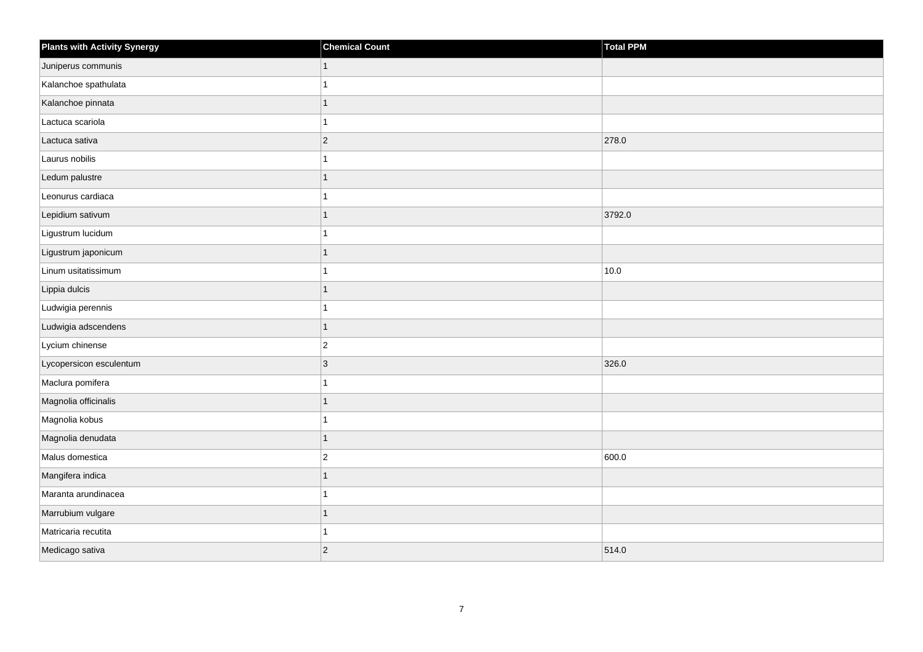| <b>Plants with Activity Synergy</b> | <b>Chemical Count</b> | Total PPM |
|-------------------------------------|-----------------------|-----------|
| Juniperus communis                  | 1                     |           |
| Kalanchoe spathulata                |                       |           |
| Kalanchoe pinnata                   |                       |           |
| Lactuca scariola                    |                       |           |
| Lactuca sativa                      | $\overline{2}$        | 278.0     |
| Laurus nobilis                      |                       |           |
| Ledum palustre                      | 1                     |           |
| Leonurus cardiaca                   |                       |           |
| Lepidium sativum                    |                       | 3792.0    |
| Ligustrum lucidum                   |                       |           |
| Ligustrum japonicum                 |                       |           |
| Linum usitatissimum                 |                       | 10.0      |
| Lippia dulcis                       | 1                     |           |
| Ludwigia perennis                   |                       |           |
| Ludwigia adscendens                 | 1                     |           |
| Lycium chinense                     | $\overline{2}$        |           |
| Lycopersicon esculentum             | 3                     | 326.0     |
| Maclura pomifera                    |                       |           |
| Magnolia officinalis                | 1                     |           |
| Magnolia kobus                      |                       |           |
| Magnolia denudata                   | 1                     |           |
| Malus domestica                     | $\overline{2}$        | 600.0     |
| Mangifera indica                    |                       |           |
| Maranta arundinacea                 |                       |           |
| Marrubium vulgare                   | 1                     |           |
| Matricaria recutita                 |                       |           |
| Medicago sativa                     | $\overline{c}$        | 514.0     |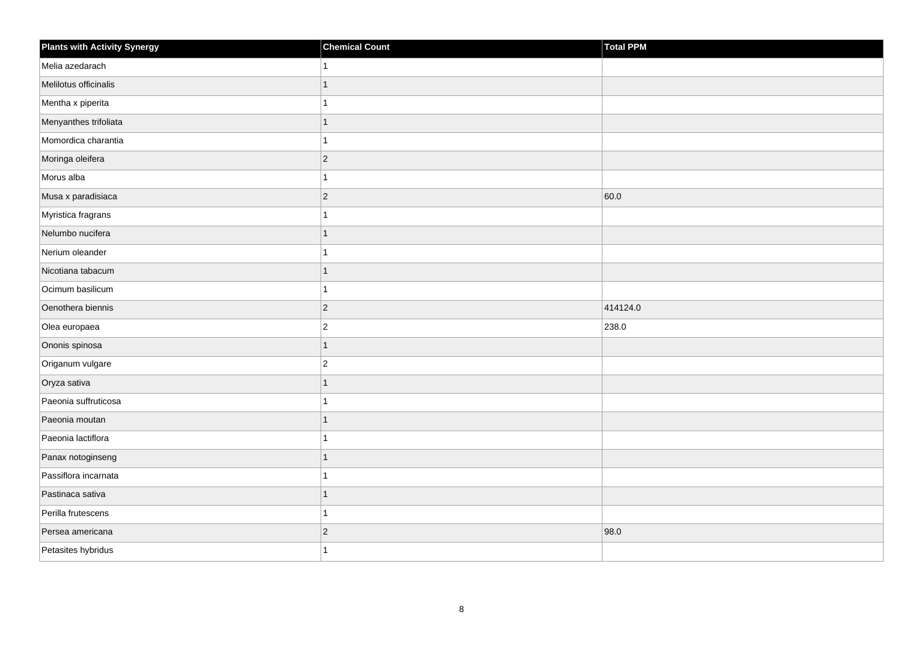| <b>Plants with Activity Synergy</b> | <b>Chemical Count</b>    | Total PPM |
|-------------------------------------|--------------------------|-----------|
| Melia azedarach                     |                          |           |
| Melilotus officinalis               | 1                        |           |
| Mentha x piperita                   |                          |           |
| Menyanthes trifoliata               | 1                        |           |
| Momordica charantia                 |                          |           |
| Moringa oleifera                    | $\overline{2}$           |           |
| Morus alba                          | 1                        |           |
| Musa x paradisiaca                  | $\overline{2}$           | 60.0      |
| Myristica fragrans                  |                          |           |
| Nelumbo nucifera                    | 1                        |           |
| Nerium oleander                     |                          |           |
| Nicotiana tabacum                   | $\overline{\phantom{a}}$ |           |
| Ocimum basilicum                    | $\overline{1}$           |           |
| Oenothera biennis                   | $\overline{2}$           | 414124.0  |
| Olea europaea                       | $\overline{2}$           | 238.0     |
| Ononis spinosa                      | 1                        |           |
| Origanum vulgare                    | $\overline{2}$           |           |
| Oryza sativa                        | $\overline{\phantom{a}}$ |           |
| Paeonia suffruticosa                | 4                        |           |
| Paeonia moutan                      | 1                        |           |
| Paeonia lactiflora                  |                          |           |
| Panax notoginseng                   |                          |           |
| Passiflora incarnata                |                          |           |
| Pastinaca sativa                    | 1                        |           |
| Perilla frutescens                  |                          |           |
| Persea americana                    | $\overline{2}$           | 98.0      |
| Petasites hybridus                  |                          |           |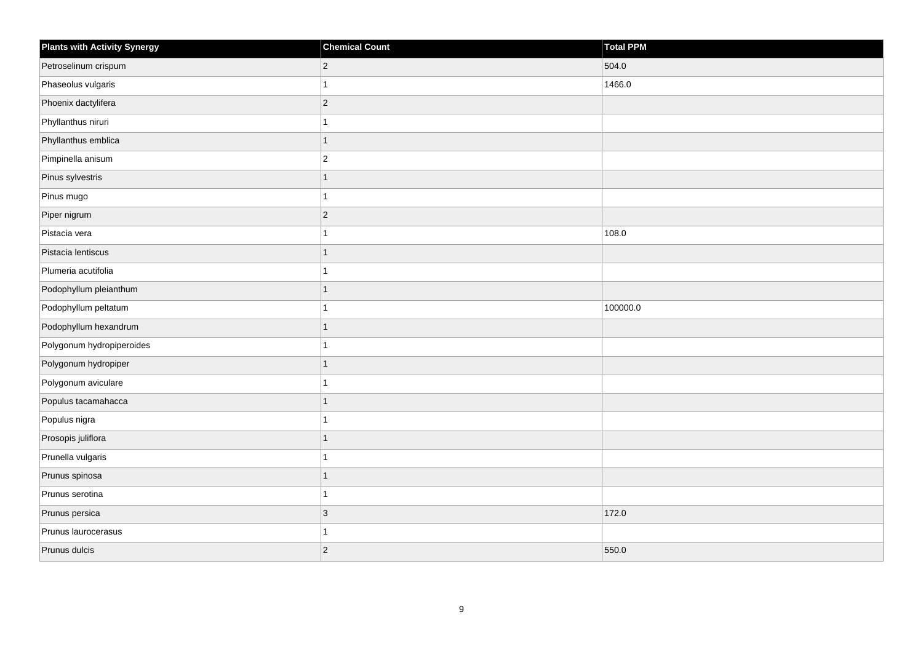| <b>Plants with Activity Synergy</b> | <b>Chemical Count</b> | Total PPM |
|-------------------------------------|-----------------------|-----------|
| Petroselinum crispum                | $\overline{c}$        | 504.0     |
| Phaseolus vulgaris                  |                       | 1466.0    |
| Phoenix dactylifera                 | $\overline{c}$        |           |
| Phyllanthus niruri                  |                       |           |
| Phyllanthus emblica                 | 1                     |           |
| Pimpinella anisum                   | $\overline{c}$        |           |
| Pinus sylvestris                    | 1                     |           |
| Pinus mugo                          |                       |           |
| Piper nigrum                        | $\overline{2}$        |           |
| Pistacia vera                       |                       | 108.0     |
| Pistacia lentiscus                  | 1                     |           |
| Plumeria acutifolia                 |                       |           |
| Podophyllum pleianthum              | 1                     |           |
| Podophyllum peltatum                |                       | 100000.0  |
| Podophyllum hexandrum               | 1                     |           |
| Polygonum hydropiperoides           |                       |           |
| Polygonum hydropiper                | 1                     |           |
| Polygonum aviculare                 |                       |           |
| Populus tacamahacca                 | $\overline{1}$        |           |
| Populus nigra                       |                       |           |
| Prosopis juliflora                  | 1                     |           |
| Prunella vulgaris                   | 1                     |           |
| Prunus spinosa                      | 1                     |           |
| Prunus serotina                     |                       |           |
| Prunus persica                      | $\overline{3}$        | 172.0     |
| Prunus laurocerasus                 |                       |           |
| Prunus dulcis                       | $\overline{2}$        | 550.0     |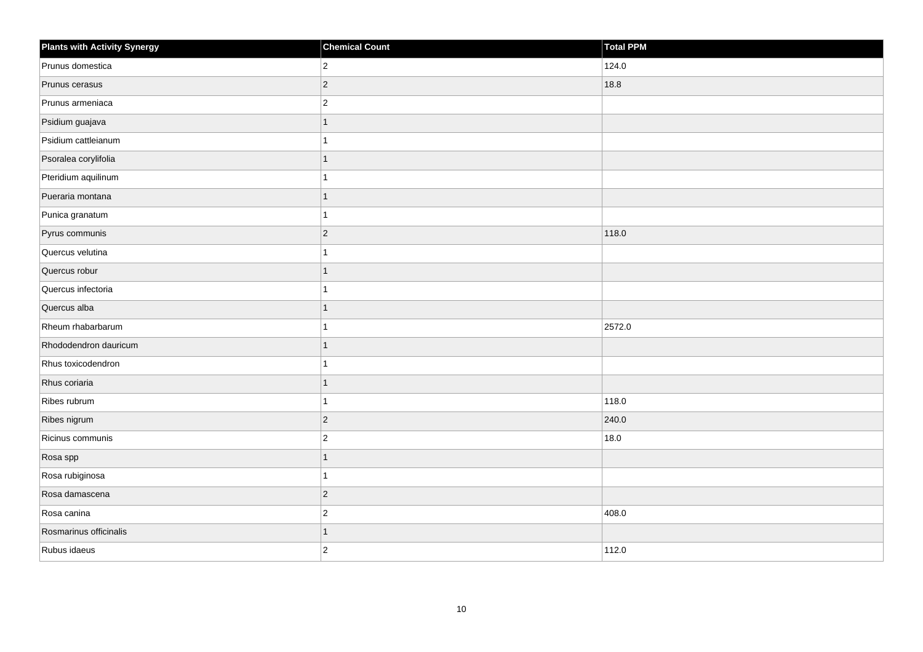| <b>Plants with Activity Synergy</b> | <b>Chemical Count</b> | Total PPM |
|-------------------------------------|-----------------------|-----------|
| Prunus domestica                    | $\overline{2}$        | 124.0     |
| Prunus cerasus                      | $\overline{2}$        | 18.8      |
| Prunus armeniaca                    | $\overline{a}$        |           |
| Psidium guajava                     | 1                     |           |
| Psidium cattleianum                 |                       |           |
| Psoralea corylifolia                |                       |           |
| Pteridium aquilinum                 |                       |           |
| Pueraria montana                    | 1                     |           |
| Punica granatum                     |                       |           |
| Pyrus communis                      | $\overline{2}$        | 118.0     |
| Quercus velutina                    |                       |           |
| Quercus robur                       |                       |           |
| Quercus infectoria                  |                       |           |
| Quercus alba                        | 1                     |           |
| Rheum rhabarbarum                   |                       | 2572.0    |
| Rhododendron dauricum               | 1                     |           |
| Rhus toxicodendron                  |                       |           |
| Rhus coriaria                       |                       |           |
| Ribes rubrum                        |                       | 118.0     |
| Ribes nigrum                        | $\overline{2}$        | 240.0     |
| Ricinus communis                    | $\overline{2}$        | 18.0      |
| Rosa spp                            | $\overline{1}$        |           |
| Rosa rubiginosa                     |                       |           |
| Rosa damascena                      | $ 2\rangle$           |           |
| Rosa canina                         | $\overline{2}$        | 408.0     |
| Rosmarinus officinalis              |                       |           |
| Rubus idaeus                        | $\overline{2}$        | 112.0     |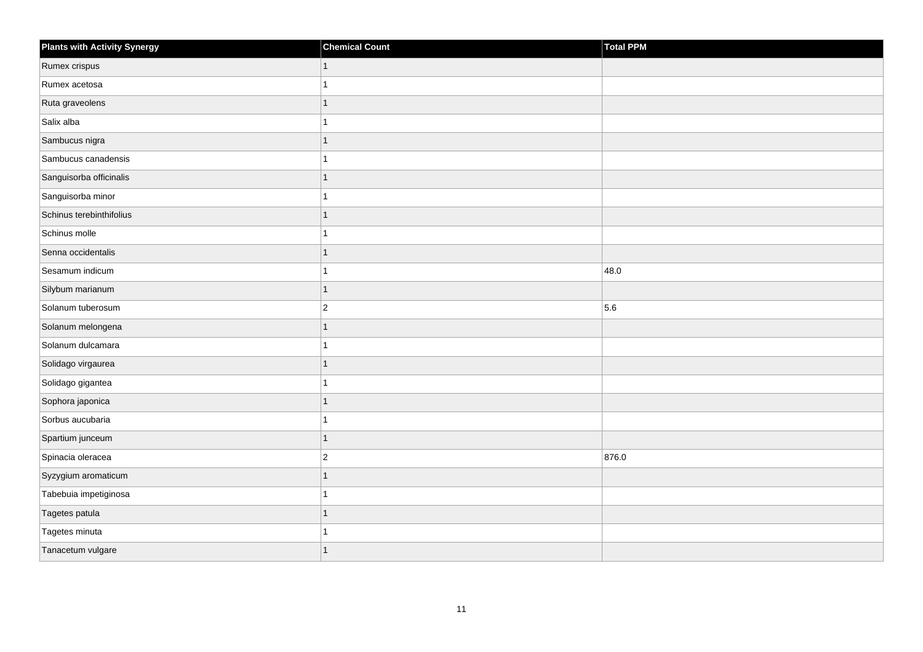| Plants with Activity Synergy | <b>Chemical Count</b> | Total PPM |
|------------------------------|-----------------------|-----------|
| Rumex crispus                | $\mathbf{1}$          |           |
| Rumex acetosa                | 1                     |           |
| Ruta graveolens              | 1                     |           |
| Salix alba                   | 1                     |           |
| Sambucus nigra               | $\mathbf{1}$          |           |
| Sambucus canadensis          | 1                     |           |
| Sanguisorba officinalis      | $\overline{1}$        |           |
| Sanguisorba minor            | 1                     |           |
| Schinus terebinthifolius     | $\overline{1}$        |           |
| Schinus molle                | 1                     |           |
| Senna occidentalis           | $\mathbf{1}$          |           |
| Sesamum indicum              | 1                     | 48.0      |
| Silybum marianum             | $\mathbf{1}$          |           |
| Solanum tuberosum            | $ 2\rangle$           | 5.6       |
| Solanum melongena            | $\mathbf{1}$          |           |
| Solanum dulcamara            | 1                     |           |
| Solidago virgaurea           | 1                     |           |
| Solidago gigantea            | 1                     |           |
| Sophora japonica             | 1                     |           |
| Sorbus aucubaria             | 1                     |           |
| Spartium junceum             | $\mathbf{1}$          |           |
| Spinacia oleracea            | $\vert$ 2             | 876.0     |
| Syzygium aromaticum          | 1                     |           |
| Tabebuia impetiginosa        | 1                     |           |
| Tagetes patula               | $\mathbf{1}$          |           |
| Tagetes minuta               | 1                     |           |
| Tanacetum vulgare            | 1                     |           |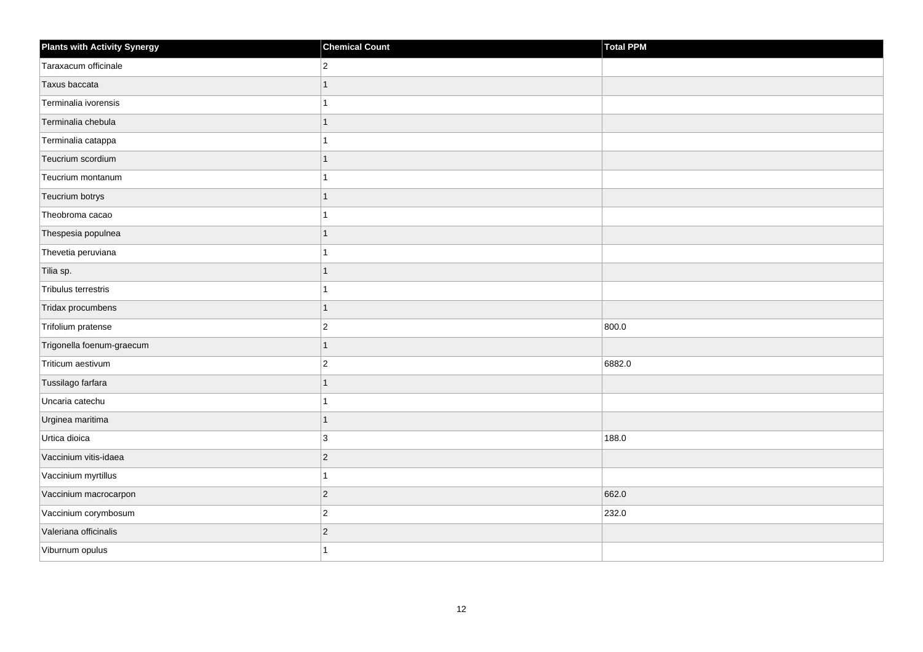| <b>Plants with Activity Synergy</b> | <b>Chemical Count</b>    | Total PPM |
|-------------------------------------|--------------------------|-----------|
| Taraxacum officinale                | $\overline{2}$           |           |
| Taxus baccata                       | 1                        |           |
| Terminalia ivorensis                |                          |           |
| Terminalia chebula                  | 1                        |           |
| Terminalia catappa                  |                          |           |
| Teucrium scordium                   |                          |           |
| Teucrium montanum                   | 4                        |           |
| Teucrium botrys                     | 1                        |           |
| Theobroma cacao                     |                          |           |
| Thespesia populnea                  | 1                        |           |
| Thevetia peruviana                  |                          |           |
| Tilia sp.                           |                          |           |
| Tribulus terrestris                 | 1                        |           |
| Tridax procumbens                   | 1                        |           |
| Trifolium pratense                  | $\overline{2}$           | 800.0     |
| Trigonella foenum-graecum           | $\overline{1}$           |           |
| Triticum aestivum                   | $\overline{c}$           | 6882.0    |
| Tussilago farfara                   | $\overline{\phantom{a}}$ |           |
| Uncaria catechu                     | 1                        |           |
| Urginea maritima                    | 1                        |           |
| Urtica dioica                       | 3                        | 188.0     |
| Vaccinium vitis-idaea               | $\overline{2}$           |           |
| Vaccinium myrtillus                 |                          |           |
| Vaccinium macrocarpon               | $\overline{2}$           | 662.0     |
| Vaccinium corymbosum                | $\overline{2}$           | 232.0     |
| Valeriana officinalis               | $\overline{2}$           |           |
| Viburnum opulus                     |                          |           |